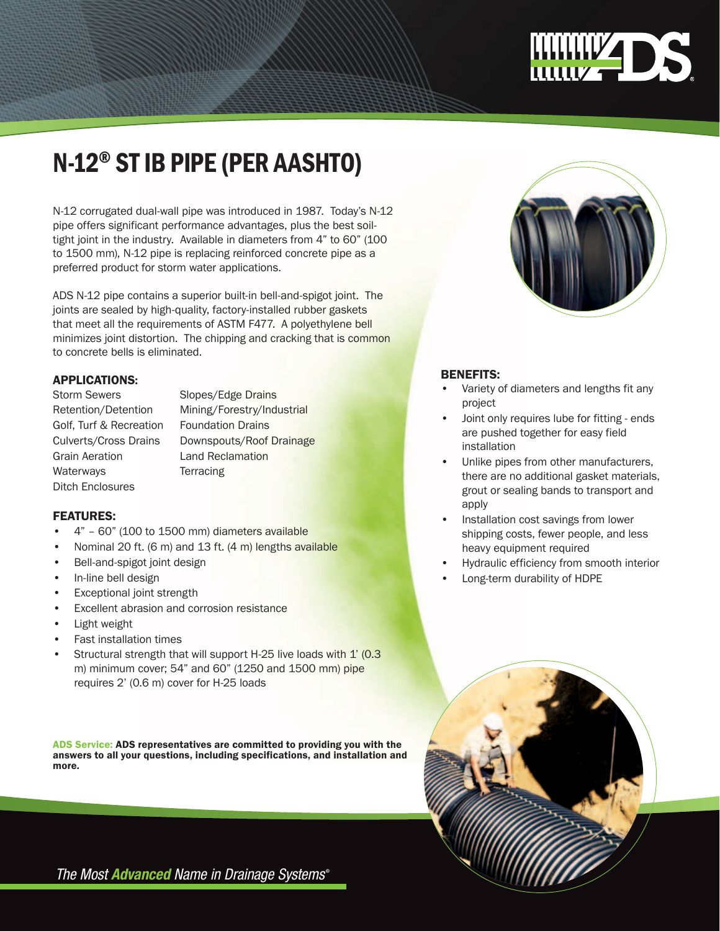

# n-12® st ib pipe (per AASHTO)

N-12 corrugated dual-wall pipe was introduced in 1987. Today's N-12 pipe offers significant performance advantages, plus the best soiltight joint in the industry. Available in diameters from 4" to 60" (100 to 1500 mm), N-12 pipe is replacing reinforced concrete pipe as a preferred product for storm water applications.

ADS N-12 pipe contains a superior built-in bell-and-spigot joint. The joints are sealed by high-quality, factory-installed rubber gaskets that meet all the requirements of ASTM F477. A polyethylene bell minimizes joint distortion. The chipping and cracking that is common to concrete bells is eliminated.

## Applications:

Golf, Turf & Recreation Foundation Drains Grain Aeration Land Reclamation Waterways Terracing Ditch Enclosures

Storm Sewers Slopes/Edge Drains Retention/Detention Mining/Forestry/Industrial Culverts/Cross Drains Downspouts/Roof Drainage

## FEATURES:

- • 4" 60" (100 to 1500 mm) diameters available
- Nominal 20 ft. (6 m) and 13 ft. (4 m) lengths available
- Bell-and-spigot joint design
- In-line bell design
- **Exceptional joint strength**
- Excellent abrasion and corrosion resistance
- Light weight
- • Fast installation times
- Structural strength that will support H-25 live loads with 1' (0.3) m) minimum cover; 54" and 60" (1250 and 1500 mm) pipe requires 2' (0.6 m) cover for H-25 loads

ADS Service: ADS representatives are committed to providing you with the answers to all your questions, including specifications, and installation and more.



# BENEFITS:

- Variety of diameters and lengths fit any project
- Joint only requires lube for fitting ends are pushed together for easy field installation
- Unlike pipes from other manufacturers, there are no additional gasket materials, grout or sealing bands to transport and apply
- Installation cost savings from lower shipping costs, fewer people, and less heavy equipment required
- Hydraulic efficiency from smooth interior
- Long-term durability of HDPE



The Most **Advanced** Name in Drainage Systems<sup>®</sup>